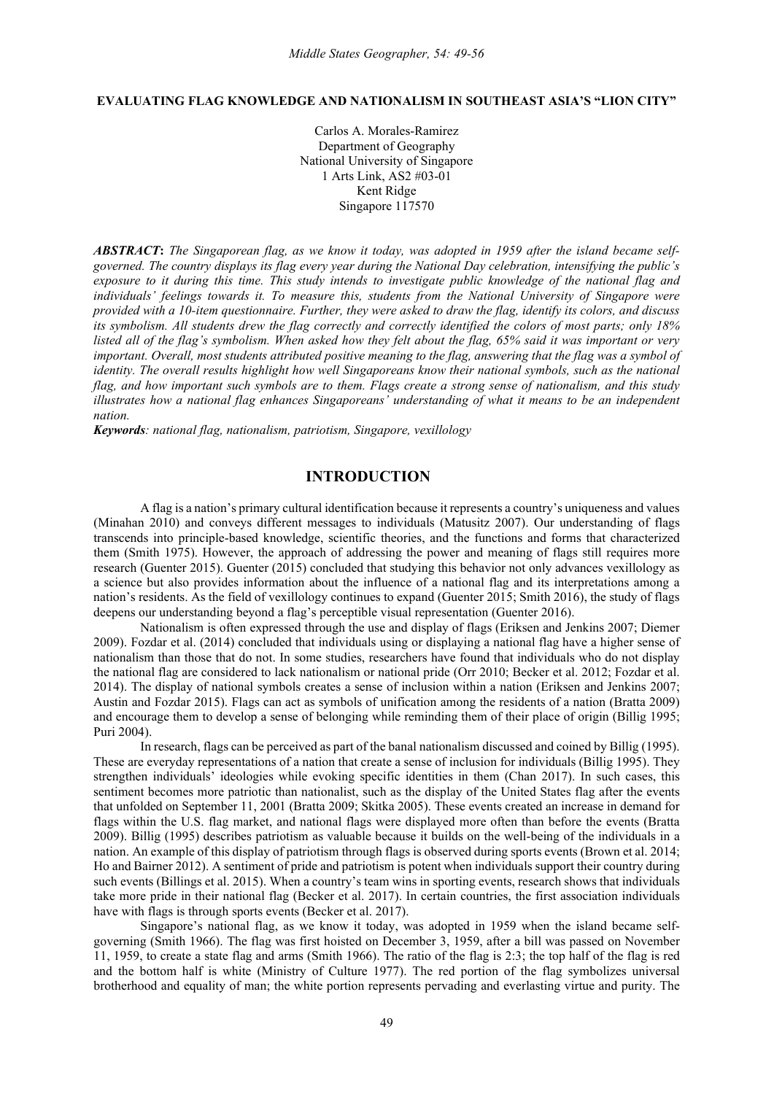### **EVALUATING FLAG KNOWLEDGE AND NATIONALISM IN SOUTHEAST ASIA'S "LION CITY"**

Carlos A. Morales-Ramirez Department of Geography National University of Singapore 1 Arts Link, AS2 #03-01 Kent Ridge Singapore 117570

*ABSTRACT***:** *The Singaporean flag, as we know it today, was adopted in 1959 after the island became selfgoverned. The country displays its flag every year during the National Day celebration, intensifying the public's exposure to it during this time. This study intends to investigate public knowledge of the national flag and individuals' feelings towards it. To measure this, students from the National University of Singapore were provided with a 10-item questionnaire. Further, they were asked to draw the flag, identify its colors, and discuss its symbolism. All students drew the flag correctly and correctly identified the colors of most parts; only 18% listed all of the flag's symbolism. When asked how they felt about the flag, 65% said it was important or very important. Overall, most students attributed positive meaning to the flag, answering that the flag was a symbol of identity. The overall results highlight how well Singaporeans know their national symbols, such as the national flag, and how important such symbols are to them. Flags create a strong sense of nationalism, and this study illustrates how a national flag enhances Singaporeans' understanding of what it means to be an independent nation.*

*Keywords: national flag, nationalism, patriotism, Singapore, vexillology*

# **INTRODUCTION**

A flag is a nation's primary cultural identification because it represents a country's uniqueness and values (Minahan 2010) and conveys different messages to individuals (Matusitz 2007). Our understanding of flags transcends into principle-based knowledge, scientific theories, and the functions and forms that characterized them (Smith 1975). However, the approach of addressing the power and meaning of flags still requires more research (Guenter 2015). Guenter (2015) concluded that studying this behavior not only advances vexillology as a science but also provides information about the influence of a national flag and its interpretations among a nation's residents. As the field of vexillology continues to expand (Guenter 2015; Smith 2016), the study of flags deepens our understanding beyond a flag's perceptible visual representation (Guenter 2016).

Nationalism is often expressed through the use and display of flags (Eriksen and Jenkins 2007; Diemer 2009). Fozdar et al. (2014) concluded that individuals using or displaying a national flag have a higher sense of nationalism than those that do not. In some studies, researchers have found that individuals who do not display the national flag are considered to lack nationalism or national pride (Orr 2010; Becker et al. 2012; Fozdar et al. 2014). The display of national symbols creates a sense of inclusion within a nation (Eriksen and Jenkins 2007; Austin and Fozdar 2015). Flags can act as symbols of unification among the residents of a nation (Bratta 2009) and encourage them to develop a sense of belonging while reminding them of their place of origin (Billig 1995; Puri 2004).

In research, flags can be perceived as part of the banal nationalism discussed and coined by Billig (1995). These are everyday representations of a nation that create a sense of inclusion for individuals (Billig 1995). They strengthen individuals' ideologies while evoking specific identities in them (Chan 2017). In such cases, this sentiment becomes more patriotic than nationalist, such as the display of the United States flag after the events that unfolded on September 11, 2001 (Bratta 2009; Skitka 2005). These events created an increase in demand for flags within the U.S. flag market, and national flags were displayed more often than before the events (Bratta 2009). Billig (1995) describes patriotism as valuable because it builds on the well-being of the individuals in a nation. An example of this display of patriotism through flags is observed during sports events (Brown et al. 2014; Ho and Bairner 2012). A sentiment of pride and patriotism is potent when individuals support their country during such events (Billings et al. 2015). When a country's team wins in sporting events, research shows that individuals take more pride in their national flag (Becker et al. 2017). In certain countries, the first association individuals have with flags is through sports events (Becker et al. 2017).

Singapore's national flag, as we know it today, was adopted in 1959 when the island became selfgoverning (Smith 1966). The flag was first hoisted on December 3, 1959, after a bill was passed on November 11, 1959, to create a state flag and arms (Smith 1966). The ratio of the flag is 2:3; the top half of the flag is red and the bottom half is white (Ministry of Culture 1977). The red portion of the flag symbolizes universal brotherhood and equality of man; the white portion represents pervading and everlasting virtue and purity. The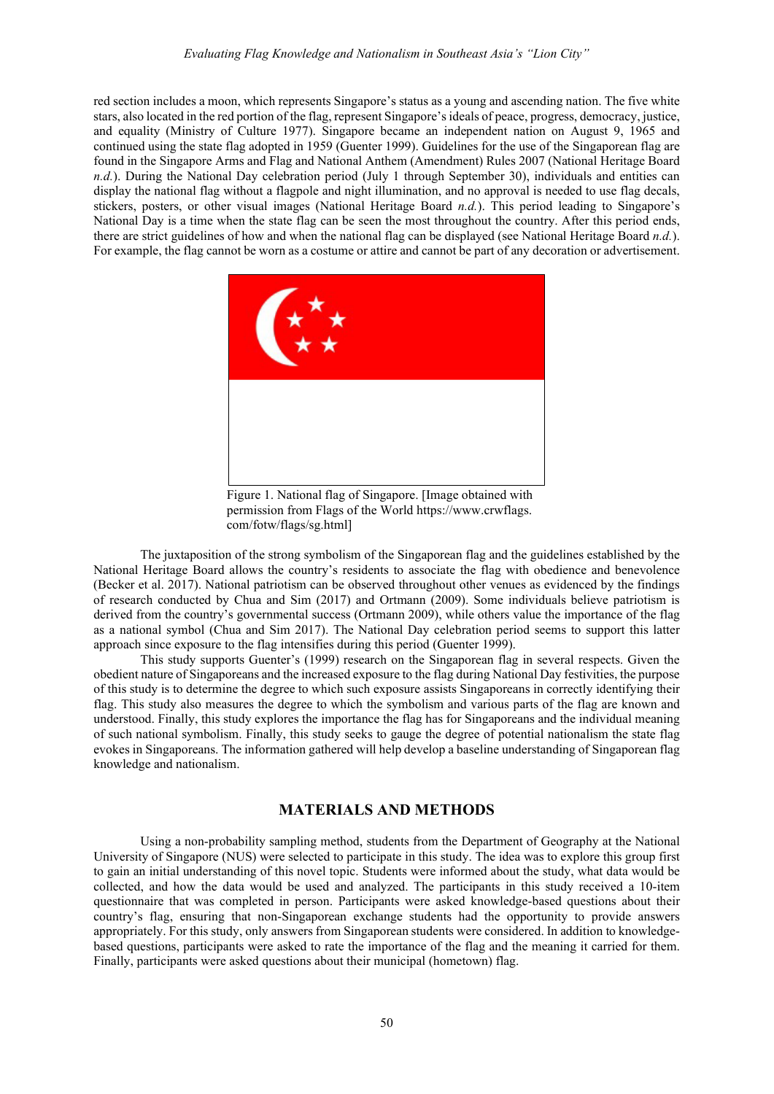red section includes a moon, which represents Singapore's status as a young and ascending nation. The five white stars, also located in the red portion of the flag, represent Singapore's ideals of peace, progress, democracy, justice, and equality (Ministry of Culture 1977). Singapore became an independent nation on August 9, 1965 and continued using the state flag adopted in 1959 (Guenter 1999). Guidelines for the use of the Singaporean flag are found in the Singapore Arms and Flag and National Anthem (Amendment) Rules 2007 (National Heritage Board *n.d.*). During the National Day celebration period (July 1 through September 30), individuals and entities can display the national flag without a flagpole and night illumination, and no approval is needed to use flag decals, stickers, posters, or other visual images (National Heritage Board *n.d.*). This period leading to Singapore's National Day is a time when the state flag can be seen the most throughout the country. After this period ends, there are strict guidelines of how and when the national flag can be displayed (see National Heritage Board *n.d.*). For example, the flag cannot be worn as a costume or attire and cannot be part of any decoration or advertisement.



Figure 1. National flag of Singapore. [Image obtained with permission from Flags of the World https://www.crwflags. com/fotw/flags/sg.html]

The juxtaposition of the strong symbolism of the Singaporean flag and the guidelines established by the National Heritage Board allows the country's residents to associate the flag with obedience and benevolence (Becker et al. 2017). National patriotism can be observed throughout other venues as evidenced by the findings of research conducted by Chua and Sim (2017) and Ortmann (2009). Some individuals believe patriotism is derived from the country's governmental success (Ortmann 2009), while others value the importance of the flag as a national symbol (Chua and Sim 2017). The National Day celebration period seems to support this latter approach since exposure to the flag intensifies during this period (Guenter 1999).

This study supports Guenter's (1999) research on the Singaporean flag in several respects. Given the obedient nature of Singaporeans and the increased exposure to the flag during National Day festivities, the purpose of this study is to determine the degree to which such exposure assists Singaporeans in correctly identifying their flag. This study also measures the degree to which the symbolism and various parts of the flag are known and understood. Finally, this study explores the importance the flag has for Singaporeans and the individual meaning of such national symbolism. Finally, this study seeks to gauge the degree of potential nationalism the state flag evokes in Singaporeans. The information gathered will help develop a baseline understanding of Singaporean flag knowledge and nationalism.

## **MATERIALS AND METHODS**

Using a non-probability sampling method, students from the Department of Geography at the National University of Singapore (NUS) were selected to participate in this study. The idea was to explore this group first to gain an initial understanding of this novel topic. Students were informed about the study, what data would be collected, and how the data would be used and analyzed. The participants in this study received a 10-item questionnaire that was completed in person. Participants were asked knowledge-based questions about their country's flag, ensuring that non-Singaporean exchange students had the opportunity to provide answers appropriately. For this study, only answers from Singaporean students were considered. In addition to knowledgebased questions, participants were asked to rate the importance of the flag and the meaning it carried for them. Finally, participants were asked questions about their municipal (hometown) flag.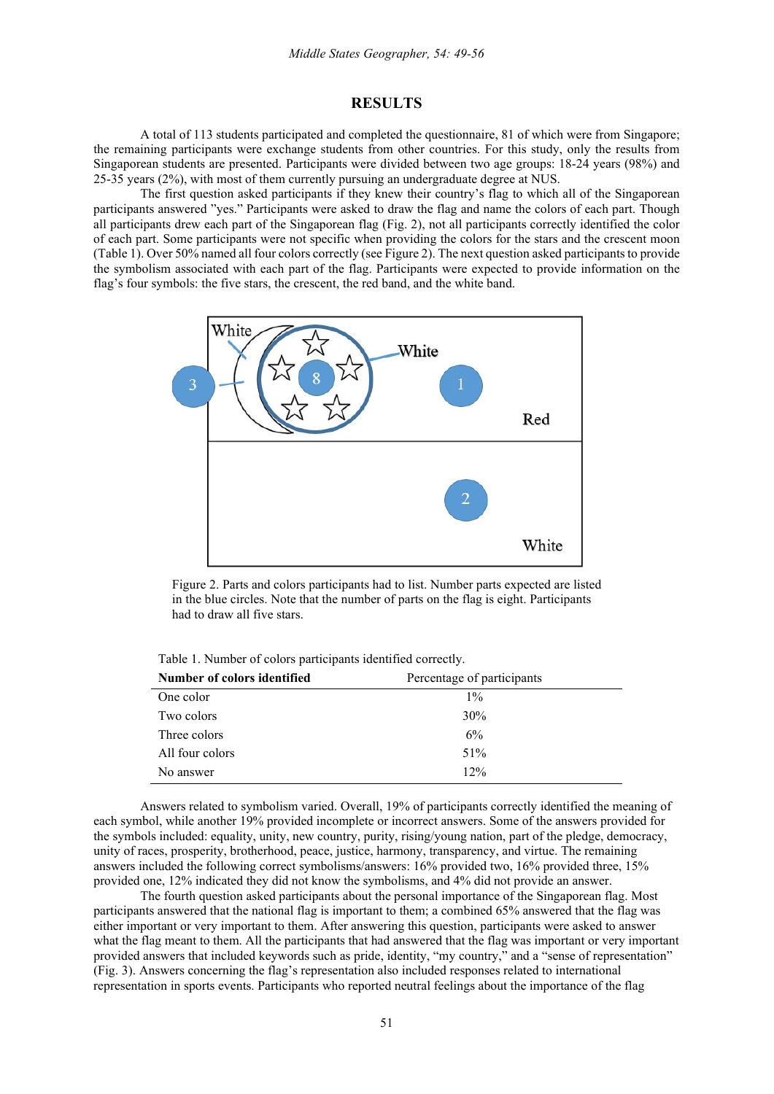## **RESULTS**

A total of 113 students participated and completed the questionnaire, 81 of which were from Singapore; the remaining participants were exchange students from other countries. For this study, only the results from Singaporean students are presented. Participants were divided between two age groups: 18-24 years (98%) and 25-35 years (2%), with most of them currently pursuing an undergraduate degree at NUS.

The first question asked participants if they knew their country's flag to which all of the Singaporean participants answered "yes." Participants were asked to draw the flag and name the colors of each part. Though all participants drew each part of the Singaporean flag (Fig. 2), not all participants correctly identified the color of each part. Some participants were not specific when providing the colors for the stars and the crescent moon (Table 1). Over 50% named all four colors correctly (see Figure 2). The next question asked participants to provide the symbolism associated with each part of the flag. Participants were expected to provide information on the flag's four symbols: the five stars, the crescent, the red band, and the white band.



Figure 2. Parts and colors participants had to list. Number parts expected are listed in the blue circles. Note that the number of parts on the flag is eight. Participants had to draw all five stars.

|  | Table 1. Number of colors participants identified correctly. |  |
|--|--------------------------------------------------------------|--|
|--|--------------------------------------------------------------|--|

| Number of colors identified | Percentage of participants |  |
|-----------------------------|----------------------------|--|
| One color                   | $1\%$                      |  |
| Two colors                  | 30%                        |  |
| Three colors                | 6%                         |  |
| All four colors             | 51%                        |  |
| No answer                   | $12\%$                     |  |

Answers related to symbolism varied. Overall, 19% of participants correctly identified the meaning of each symbol, while another 19% provided incomplete or incorrect answers. Some of the answers provided for the symbols included: equality, unity, new country, purity, rising/young nation, part of the pledge, democracy, unity of races, prosperity, brotherhood, peace, justice, harmony, transparency, and virtue. The remaining answers included the following correct symbolisms/answers: 16% provided two, 16% provided three, 15% provided one, 12% indicated they did not know the symbolisms, and 4% did not provide an answer.

The fourth question asked participants about the personal importance of the Singaporean flag. Most participants answered that the national flag is important to them; a combined 65% answered that the flag was either important or very important to them. After answering this question, participants were asked to answer what the flag meant to them. All the participants that had answered that the flag was important or very important provided answers that included keywords such as pride, identity, "my country," and a "sense of representation" (Fig. 3). Answers concerning the flag's representation also included responses related to international representation in sports events. Participants who reported neutral feelings about the importance of the flag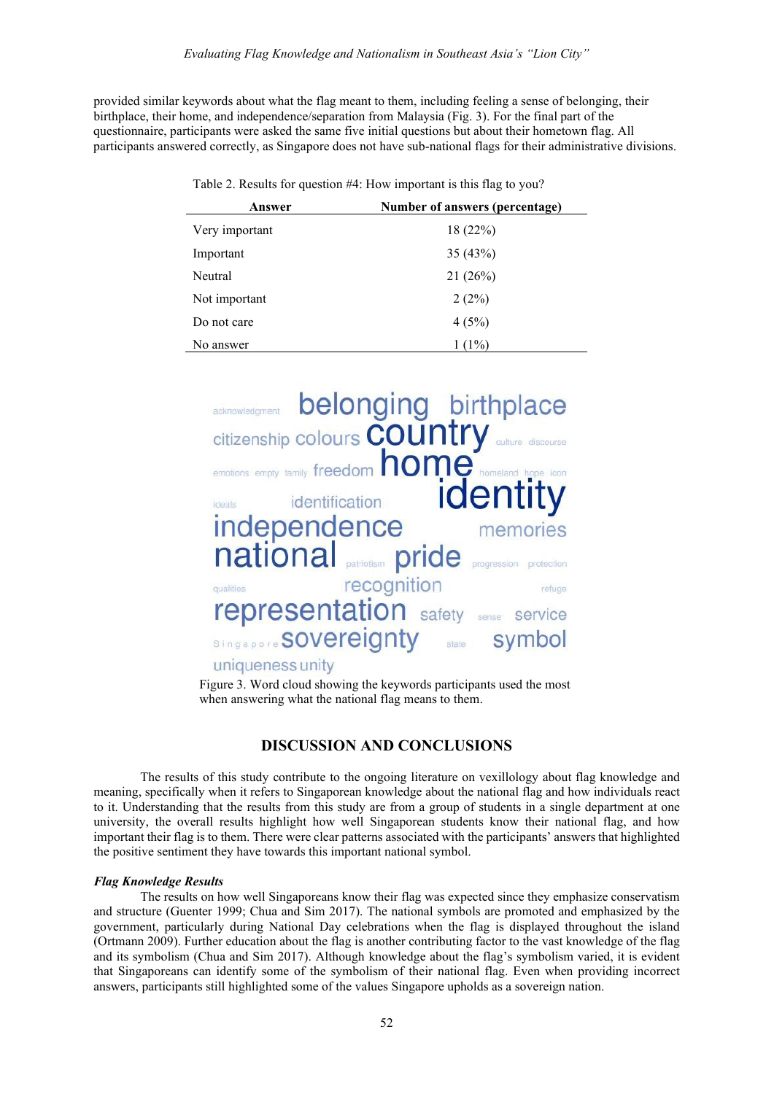provided similar keywords about what the flag meant to them, including feeling a sense of belonging, their birthplace, their home, and independence/separation from Malaysia (Fig. 3). For the final part of the questionnaire, participants were asked the same five initial questions but about their hometown flag. All participants answered correctly, as Singapore does not have sub-national flags for their administrative divisions.

| Answer         | Number of answers (percentage) |
|----------------|--------------------------------|
| Very important | 18(22%)                        |
| Important      | 35 (43%)                       |
| Neutral        | 21(26%)                        |
| Not important  | 2(2%)                          |
| Do not care    | 4(5%)                          |
| No answer      | $1(1\%)$                       |

Table 2. Results for question #4: How important is this flag to you?



Figure 3. Word cloud showing the keywords participants used the most when answering what the national flag means to them.

# **DISCUSSION AND CONCLUSIONS**

The results of this study contribute to the ongoing literature on vexillology about flag knowledge and meaning, specifically when it refers to Singaporean knowledge about the national flag and how individuals react to it. Understanding that the results from this study are from a group of students in a single department at one university, the overall results highlight how well Singaporean students know their national flag, and how important their flag is to them. There were clear patterns associated with the participants' answers that highlighted the positive sentiment they have towards this important national symbol.

#### *Flag Knowledge Results*

The results on how well Singaporeans know their flag was expected since they emphasize conservatism and structure (Guenter 1999; Chua and Sim 2017). The national symbols are promoted and emphasized by the government, particularly during National Day celebrations when the flag is displayed throughout the island (Ortmann 2009). Further education about the flag is another contributing factor to the vast knowledge of the flag and its symbolism (Chua and Sim 2017). Although knowledge about the flag's symbolism varied, it is evident that Singaporeans can identify some of the symbolism of their national flag. Even when providing incorrect answers, participants still highlighted some of the values Singapore upholds as a sovereign nation.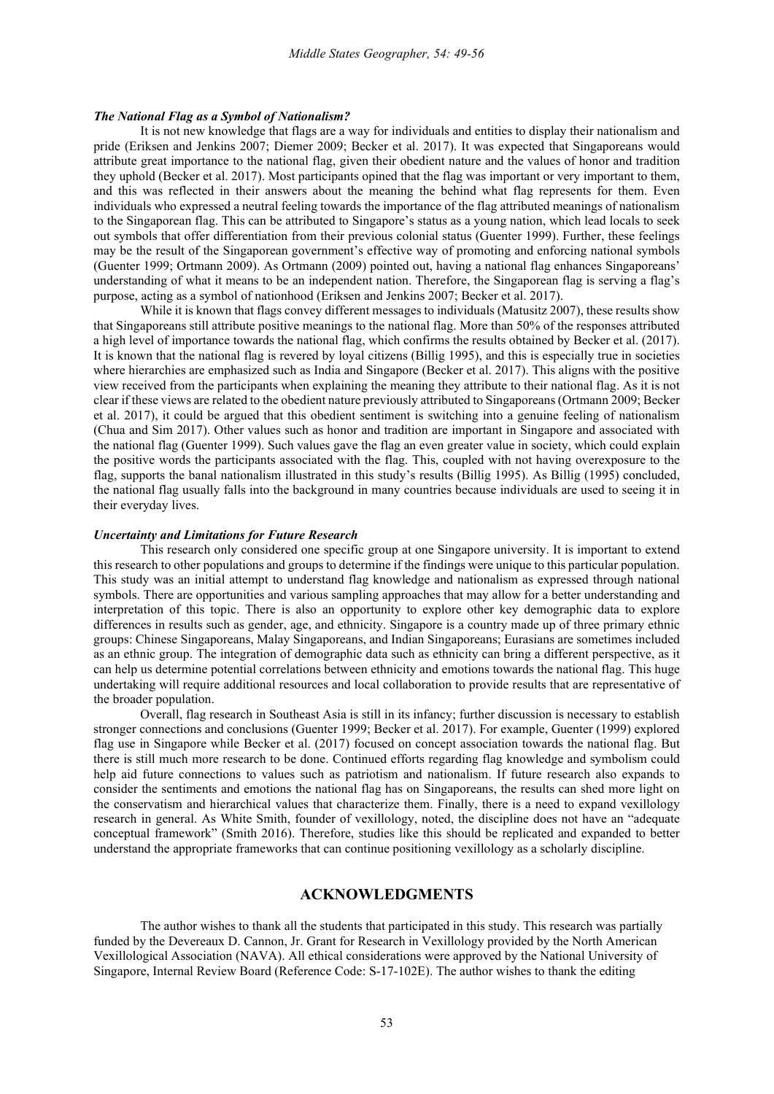#### *The National Flag as a Symbol of Nationalism?*

It is not new knowledge that flags are a way for individuals and entities to display their nationalism and pride (Eriksen and Jenkins 2007; Diemer 2009; Becker et al. 2017). It was expected that Singaporeans would attribute great importance to the national flag, given their obedient nature and the values of honor and tradition they uphold (Becker et al. 2017). Most participants opined that the flag was important or very important to them, and this was reflected in their answers about the meaning the behind what flag represents for them. Even individuals who expressed a neutral feeling towards the importance of the flag attributed meanings of nationalism to the Singaporean flag. This can be attributed to Singapore's status as a young nation, which lead locals to seek out symbols that offer differentiation from their previous colonial status (Guenter 1999). Further, these feelings may be the result of the Singaporean government's effective way of promoting and enforcing national symbols (Guenter 1999; Ortmann 2009). As Ortmann (2009) pointed out, having a national flag enhances Singaporeans' understanding of what it means to be an independent nation. Therefore, the Singaporean flag is serving a flag's purpose, acting as a symbol of nationhood (Eriksen and Jenkins 2007; Becker et al. 2017).

While it is known that flags convey different messages to individuals (Matusitz 2007), these results show that Singaporeans still attribute positive meanings to the national flag. More than 50% of the responses attributed a high level of importance towards the national flag, which confirms the results obtained by Becker et al. (2017). It is known that the national flag is revered by loyal citizens (Billig 1995), and this is especially true in societies where hierarchies are emphasized such as India and Singapore (Becker et al. 2017). This aligns with the positive view received from the participants when explaining the meaning they attribute to their national flag. As it is not clear if these views are related to the obedient nature previously attributed to Singaporeans (Ortmann 2009; Becker et al. 2017), it could be argued that this obedient sentiment is switching into a genuine feeling of nationalism (Chua and Sim 2017). Other values such as honor and tradition are important in Singapore and associated with the national flag (Guenter 1999). Such values gave the flag an even greater value in society, which could explain the positive words the participants associated with the flag. This, coupled with not having overexposure to the flag, supports the banal nationalism illustrated in this study's results (Billig 1995). As Billig (1995) concluded, the national flag usually falls into the background in many countries because individuals are used to seeing it in their everyday lives.

### *Uncertainty and Limitations for Future Research*

This research only considered one specific group at one Singapore university. It is important to extend this research to other populations and groups to determine if the findings were unique to this particular population. This study was an initial attempt to understand flag knowledge and nationalism as expressed through national symbols. There are opportunities and various sampling approaches that may allow for a better understanding and interpretation of this topic. There is also an opportunity to explore other key demographic data to explore differences in results such as gender, age, and ethnicity. Singapore is a country made up of three primary ethnic groups: Chinese Singaporeans, Malay Singaporeans, and Indian Singaporeans; Eurasians are sometimes included as an ethnic group. The integration of demographic data such as ethnicity can bring a different perspective, as it can help us determine potential correlations between ethnicity and emotions towards the national flag. This huge undertaking will require additional resources and local collaboration to provide results that are representative of the broader population.

Overall, flag research in Southeast Asia is still in its infancy; further discussion is necessary to establish stronger connections and conclusions (Guenter 1999; Becker et al. 2017). For example, Guenter (1999) explored flag use in Singapore while Becker et al. (2017) focused on concept association towards the national flag. But there is still much more research to be done. Continued efforts regarding flag knowledge and symbolism could help aid future connections to values such as patriotism and nationalism. If future research also expands to consider the sentiments and emotions the national flag has on Singaporeans, the results can shed more light on the conservatism and hierarchical values that characterize them. Finally, there is a need to expand vexillology research in general. As White Smith, founder of vexillology, noted, the discipline does not have an "adequate conceptual framework" (Smith 2016). Therefore, studies like this should be replicated and expanded to better understand the appropriate frameworks that can continue positioning vexillology as a scholarly discipline.

## **ACKNOWLEDGMENTS**

The author wishes to thank all the students that participated in this study. This research was partially funded by the Devereaux D. Cannon, Jr. Grant for Research in Vexillology provided by the North American Vexillological Association (NAVA). All ethical considerations were approved by the National University of Singapore, Internal Review Board (Reference Code: S-17-102E). The author wishes to thank the editing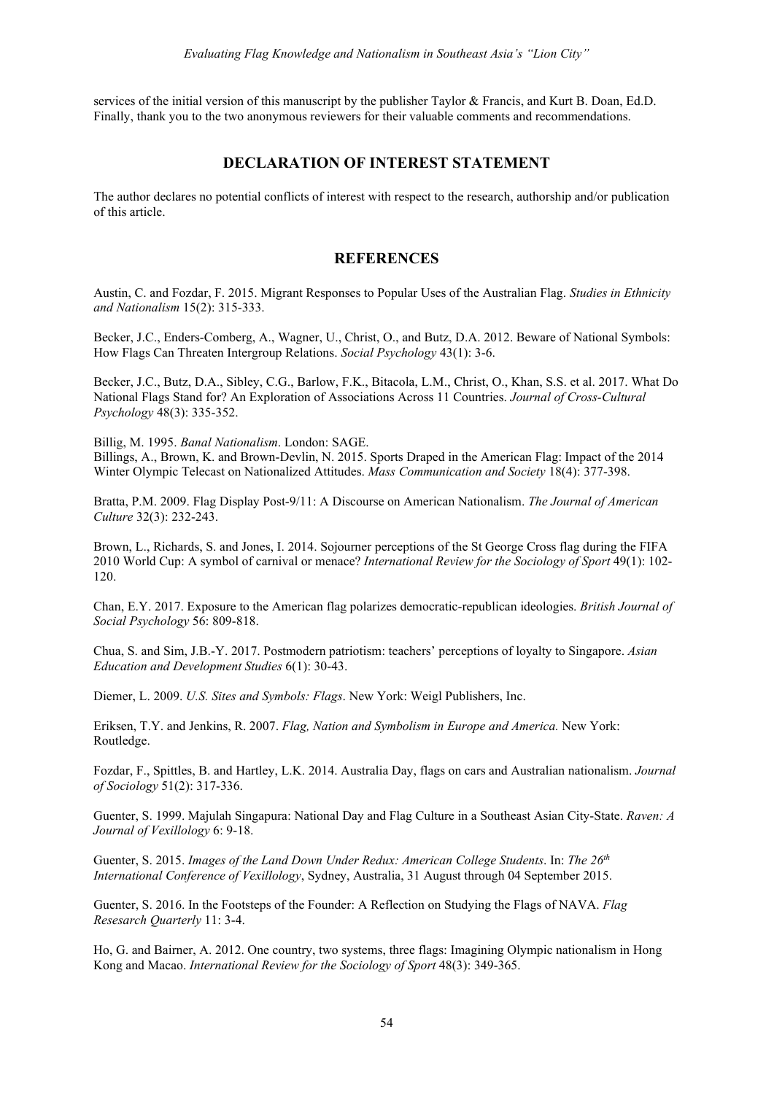services of the initial version of this manuscript by the publisher Taylor & Francis, and Kurt B. Doan, Ed.D. Finally, thank you to the two anonymous reviewers for their valuable comments and recommendations.

# **DECLARATION OF INTEREST STATEMENT**

The author declares no potential conflicts of interest with respect to the research, authorship and/or publication of this article.

## **REFERENCES**

Austin, C. and Fozdar, F. 2015. Migrant Responses to Popular Uses of the Australian Flag. *Studies in Ethnicity and Nationalism* 15(2): 315-333.

Becker, J.C., Enders-Comberg, A., Wagner, U., Christ, O., and Butz, D.A. 2012. Beware of National Symbols: How Flags Can Threaten Intergroup Relations. *Social Psychology* 43(1): 3-6.

Becker, J.C., Butz, D.A., Sibley, C.G., Barlow, F.K., Bitacola, L.M., Christ, O., Khan, S.S. et al. 2017. What Do National Flags Stand for? An Exploration of Associations Across 11 Countries. *Journal of Cross-Cultural Psychology* 48(3): 335-352.

Billig, M. 1995. *Banal Nationalism*. London: SAGE.

Billings, A., Brown, K. and Brown-Devlin, N. 2015. Sports Draped in the American Flag: Impact of the 2014 Winter Olympic Telecast on Nationalized Attitudes. *Mass Communication and Society* 18(4): 377-398.

Bratta, P.M. 2009. Flag Display Post-9/11: A Discourse on American Nationalism. *The Journal of American Culture* 32(3): 232-243.

Brown, L., Richards, S. and Jones, I. 2014. Sojourner perceptions of the St George Cross flag during the FIFA 2010 World Cup: A symbol of carnival or menace? *International Review for the Sociology of Sport* 49(1): 102- 120.

Chan, E.Y. 2017. Exposure to the American flag polarizes democratic-republican ideologies. *British Journal of Social Psychology* 56: 809-818.

Chua, S. and Sim, J.B.-Y. 2017. Postmodern patriotism: teachers' perceptions of loyalty to Singapore. *Asian Education and Development Studies* 6(1): 30-43.

Diemer, L. 2009. *U.S. Sites and Symbols: Flags*. New York: Weigl Publishers, Inc.

Eriksen, T.Y. and Jenkins, R. 2007. *Flag, Nation and Symbolism in Europe and America.* New York: Routledge.

Fozdar, F., Spittles, B. and Hartley, L.K. 2014. Australia Day, flags on cars and Australian nationalism. *Journal of Sociology* 51(2): 317-336.

Guenter, S. 1999. Majulah Singapura: National Day and Flag Culture in a Southeast Asian City-State. *Raven: A Journal of Vexillology* 6: 9-18.

Guenter, S. 2015. *Images of the Land Down Under Redux: American College Students*. In: *The 26th International Conference of Vexillology*, Sydney, Australia, 31 August through 04 September 2015.

Guenter, S. 2016. In the Footsteps of the Founder: A Reflection on Studying the Flags of NAVA. *Flag Resesarch Quarterly* 11: 3-4.

Ho, G. and Bairner, A. 2012. One country, two systems, three flags: Imagining Olympic nationalism in Hong Kong and Macao. *International Review for the Sociology of Sport* 48(3): 349-365.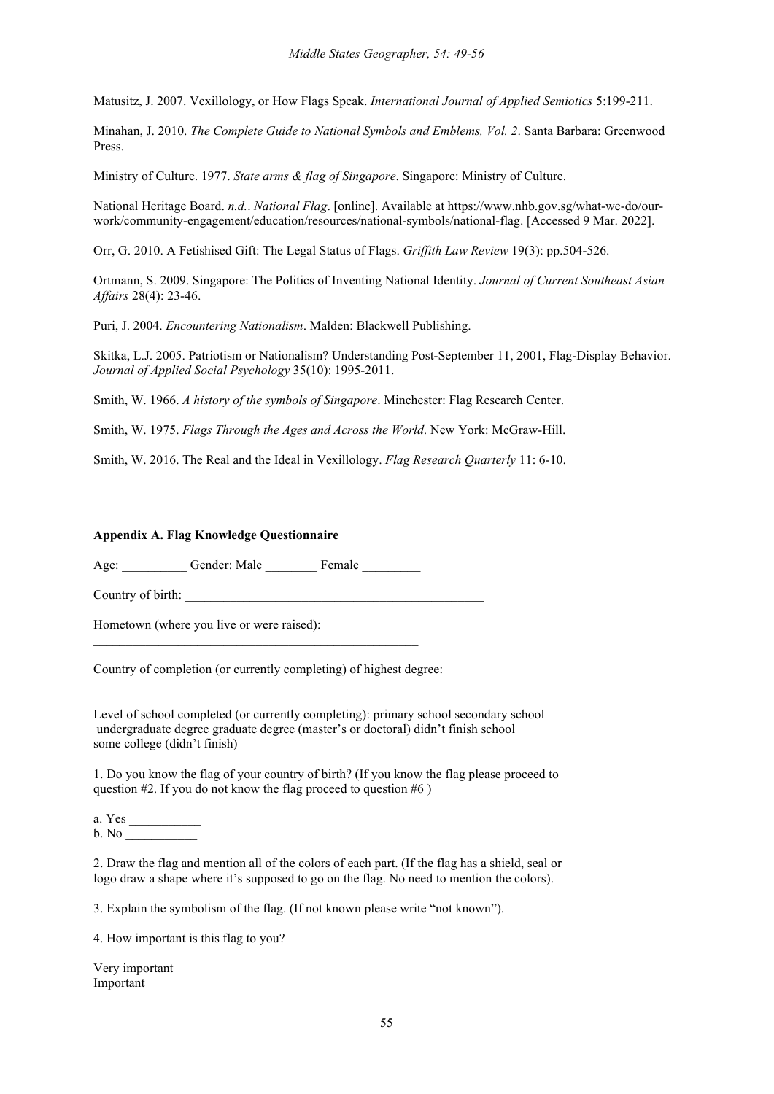Matusitz, J. 2007. Vexillology, or How Flags Speak. *International Journal of Applied Semiotics* 5:199-211.

Minahan, J. 2010. *The Complete Guide to National Symbols and Emblems, Vol. 2*. Santa Barbara: Greenwood Press.

Ministry of Culture. 1977. *State arms & flag of Singapore*. Singapore: Ministry of Culture.

National Heritage Board. *n.d.*. *National Flag*. [online]. Available at https://www.nhb.gov.sg/what-we-do/ourwork/community-engagement/education/resources/national-symbols/national-flag. [Accessed 9 Mar. 2022].

Orr, G. 2010. A Fetishised Gift: The Legal Status of Flags. *Griffith Law Review* 19(3): pp.504-526.

Ortmann, S. 2009. Singapore: The Politics of Inventing National Identity. *Journal of Current Southeast Asian Affairs* 28(4): 23-46.

Puri, J. 2004. *Encountering Nationalism*. Malden: Blackwell Publishing.

Skitka, L.J. 2005. Patriotism or Nationalism? Understanding Post-September 11, 2001, Flag-Display Behavior. *Journal of Applied Social Psychology* 35(10): 1995-2011.

Smith, W. 1966. *A history of the symbols of Singapore*. Minchester: Flag Research Center.

Smith, W. 1975. *Flags Through the Ages and Across the World*. New York: McGraw-Hill.

Smith, W. 2016. The Real and the Ideal in Vexillology. *Flag Research Quarterly* 11: 6-10.

### **Appendix A. Flag Knowledge Questionnaire**

Age: Gender: Male Female

\_\_\_\_\_\_\_\_\_\_\_\_\_\_\_\_\_\_\_\_\_\_\_\_\_\_\_\_\_\_\_\_\_\_\_\_\_\_\_\_\_\_\_\_\_\_\_\_\_\_

 $\_$  . The contribution of the contribution of  $\mathcal{L}_\mathcal{A}$ 

Country of birth:

Hometown (where you live or were raised):

Country of completion (or currently completing) of highest degree:

Level of school completed (or currently completing): primary school secondary school undergraduate degree graduate degree (master's or doctoral) didn't finish school some college (didn't finish)

1. Do you know the flag of your country of birth? (If you know the flag please proceed to question #2. If you do not know the flag proceed to question #6 )

a. Yes \_\_\_\_\_\_\_\_\_\_\_  $b. No$ 

2. Draw the flag and mention all of the colors of each part. (If the flag has a shield, seal or logo draw a shape where it's supposed to go on the flag. No need to mention the colors).

3. Explain the symbolism of the flag. (If not known please write "not known").

4. How important is this flag to you?

Very important Important